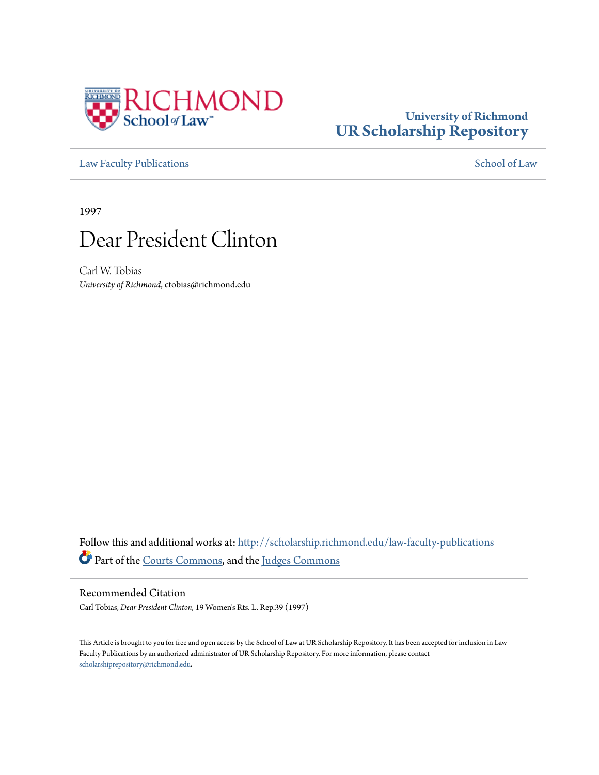

### **University of Richmond [UR Scholarship Repository](http://scholarship.richmond.edu?utm_source=scholarship.richmond.edu%2Flaw-faculty-publications%2F805&utm_medium=PDF&utm_campaign=PDFCoverPages)**

[Law Faculty Publications](http://scholarship.richmond.edu/law-faculty-publications?utm_source=scholarship.richmond.edu%2Flaw-faculty-publications%2F805&utm_medium=PDF&utm_campaign=PDFCoverPages) [School of Law](http://scholarship.richmond.edu/law?utm_source=scholarship.richmond.edu%2Flaw-faculty-publications%2F805&utm_medium=PDF&utm_campaign=PDFCoverPages)

1997

## Dear President Clinton

Carl W. Tobias *University of Richmond*, ctobias@richmond.edu

Follow this and additional works at: [http://scholarship.richmond.edu/law-faculty-publications](http://scholarship.richmond.edu/law-faculty-publications?utm_source=scholarship.richmond.edu%2Flaw-faculty-publications%2F805&utm_medium=PDF&utm_campaign=PDFCoverPages) Part of the [Courts Commons](http://network.bepress.com/hgg/discipline/839?utm_source=scholarship.richmond.edu%2Flaw-faculty-publications%2F805&utm_medium=PDF&utm_campaign=PDFCoverPages), and the [Judges Commons](http://network.bepress.com/hgg/discipline/849?utm_source=scholarship.richmond.edu%2Flaw-faculty-publications%2F805&utm_medium=PDF&utm_campaign=PDFCoverPages)

#### Recommended Citation

Carl Tobias, *Dear President Clinton,* 19 Women's Rts. L. Rep.39 (1997)

This Article is brought to you for free and open access by the School of Law at UR Scholarship Repository. It has been accepted for inclusion in Law Faculty Publications by an authorized administrator of UR Scholarship Repository. For more information, please contact [scholarshiprepository@richmond.edu.](mailto:scholarshiprepository@richmond.edu)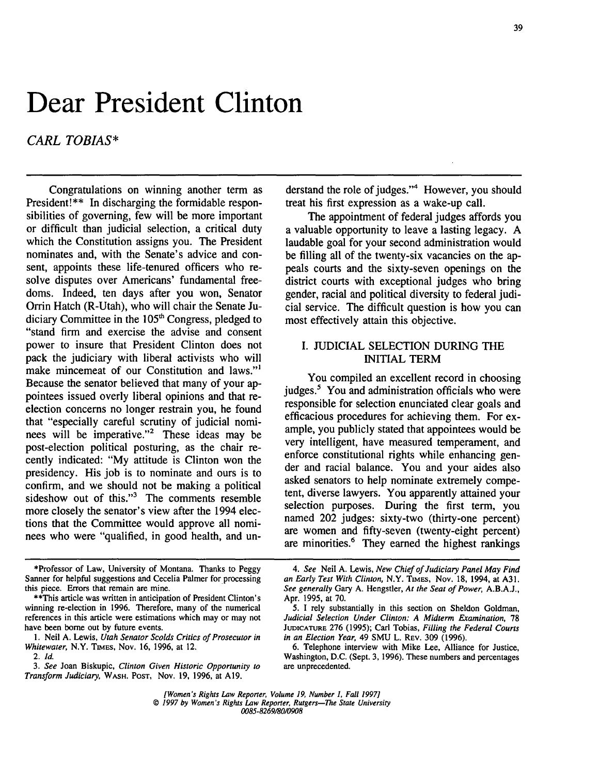# **Dear President Clinton**

*CARL TOBIAS\** 

Congratulations on winning another term as President!\*\* In discharging the formidable responsibilities of governing, few will be more important or difficult than judicial selection, a critical duty which the Constitution assigns you. The President nominates and, with the Senate's advice and consent, appoints these life-tenured officers who resolve disputes over Americans' fundamental freedoms. Indeed, ten days after you won, Senator Orrin Hatch (R-Utah), who will chair the Senate Judiciary Committee in the  $105<sup>th</sup>$  Congress, pledged to "stand firm and exercise the advise and consent power to insure that President Clinton does not pack the judiciary with liberal activists who will make mincemeat of our Constitution and laws."<sup>1</sup> Because the senator believed that many of your appointees issued overly liberal opinions and that reelection concerns no longer restrain you, he found that "especially careful scrutiny of judicial nominees will be imperative."2 These ideas may be post-election political posturing, as the chair recently indicated: "My attitude is Clinton won the presidency. His job is to nominate and ours is to confirm, and we should not be making a political sideshow out of this."<sup>3</sup> The comments resemble more closely the senator's view after the 1994 elections that the Committee would approve all nominees who were "qualified, in good health, and understand the role of judges."<sup>4</sup> However, you should treat his first expression as a wake-up call.

The appointment of federal judges affords you a valuable opportunity to leave a lasting legacy. A laudable goal for your second administration would be filling all of the twenty-six vacancies on the appeals courts and the sixty-seven openings on the district courts with exceptional judges who bring gender, racial and political diversity to federal judicial service. The difficult question is how you can most effectively attain this objective.

#### I. JUDICIAL SELECTION DURING THE INITIAL TERM

You compiled an excellent record in choosing judges.<sup>5</sup> You and administration officials who were responsible for selection enunciated clear goals and efficacious procedures for achieving them. For example, you publicly stated that appointees would be very intelligent, have measured temperament, and enforce constitutional rights while enhancing gender and racial balance. You and your aides also asked senators to help nominate extremely competent, diverse lawyers. You apparently attained your selection purposes. During the first term, you named 202 judges: sixty-two (thirty-one percent) are women and fifty-seven (twenty-eight percent) are minorities.<sup>6</sup> They earned the highest rankings

\*Professor of Law, University of Montana. Thanks to Peggy Sanner for helpful suggestions and Cecelia Palmer for processing this piece. Errors that remain are mine.

\*\*This article was written in anticipation of President Clinton's winning re-election in 1996. Therefore, many of the numerical references in this article were estimations which may or may not have been borne out by future events.

I. Neil A. Lewis, *Utah Senator Scolds Critics of Prosecutor in Whitewater,* N.Y. TIMES, Nov. 16, 1996, at 12.

2. *Id.* 

3. *See* Joan Biskupic, *Clinton Given Historic Opportunity to Trans/ orm Judiciary,* WASH. POST, Nov. 19, 1996, at A 19.

*[Women's Rights* Law *Reporter, Volume* 19, *Number* 1, *Fall* 1997] © 1997 *by Women's Rights* Law *Reporter, Rutgers-The State University* 

0085-8269180/0908

<sup>4.</sup> *See* Neil A. Lewis, *New Chief of Judiciary Panel May Find an Early Test With Clinton,* N.Y. TIMES, Nov. 18, 1994, at A31. *See generally* Gary A. Hengstler, *At the Seat of Power,* A.B.A.J., Apr. 1995, at 70.

<sup>5.</sup> I rely substantially in this section on Sheldon Goldman, *Judicial Selection Under Clinton: A Midterm Examination,* 78 Juo1cATURE 276 (1995); Carl Tobias, *Filling the Federal Courts in an Election Year,* 49 SMU L. REV. 309 (1996).

<sup>6.</sup> Telephone interview with Mike Lee, Alliance for Justice, Washington, D.C. (Sept. 3, 1996). These numbers and percentages are unprecedented.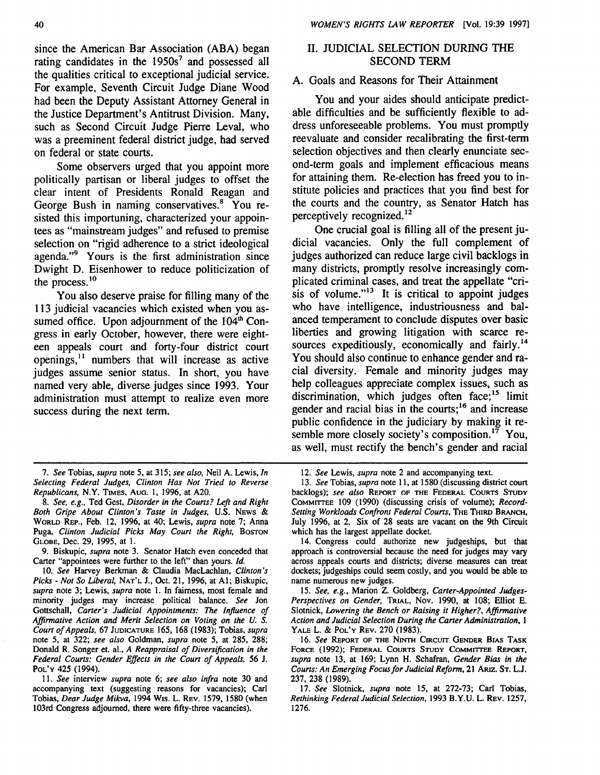since the American Bar Association (ABA) began rating candidates in the  $1950s<sup>7</sup>$  and possessed all the qualities critical to exceptional judicial service. For example, Seventh Circuit Judge Diane Wood had been the Deputy Assistant Attorney General in the Justice Department's Antitrust Division. Many, such as Second Circuit Judge Pierre Leval, who was a preeminent federal district judge, had served on federal or state courts.

Some observers urged that you appoint more politically partisan or liberal judges to offset the clear intent of Presidents Ronald Reagan and George Bush in naming conservatives.<sup>8</sup> You resisted this importuning, characterized your appointees as "mainstream judges" and refused to premise selection on "rigid adherence to a strict ideological agenda."9 Yours is the first administration since Dwight D. Eisenhower to reduce politicization of the process. 10

You also deserve praise for filling many of the 113 judicial vacancies which existed when you assumed office. Upon adjournment of the  $104<sup>th</sup>$  Congress in early October, however, there were eighteen appeals court and forty-four district court  $o$ penings, $11$  numbers that will increase as active judges assume senior status. In short, you have named very able, diverse judges since 1993. Your administration must attempt to realize even more success during the next term.

10. *See* Harvey Berkman & Claudia MacLachlan, *Clinton's Picks* - *Not So Liberal,* NAT'L J., Oct. 21, 1996, at Al; Biskupic, *supra* note 3; Lewis, *supra* note I. In fairness, most female and minority judges may increase political balance. *See* Jon Gottschall, *Carter's Judicial Appointments: The Influence of Affirmative Action and Merit Selection on Voting on the U. S. Court of Appeals, 61* JUDICATURE 165, 168 (1983); Tobias. *supra*  note 5, at 322; *see also* Goldman, *supra* note 5, at 285, 288; Donald R. Songer et. al., *A Reappraisal of Diversification in the Federal Courts: Gender Effects in the Court of Appeals,* 56 J. PoL'Y 425 (1994).

11. *See* interview *supra* note 6; *see also infra* note 30 and accompanying text (suggesting reasons for vacancies); Carl Tobias, *Dear Judge Mikva,* 1994 Wis. L. REv. 1579, 1580 (when 103rd Congress adjourned, there were fifty-three vacancies).

#### II. JUDICIAL SELECTION DURING THE SECOND TERM

#### A. Goals and Reasons for Their Attainment

You and your aides should anticipate predictable difficulties and be sufficiently flexible to address unforeseeable problems. You must promptly reevaluate and consider recalibrating the first-term selection objectives and then clearly enunciate second-term goals and implement efficacious means for attaining them. Re-election has freed you to institute policies and practices that you find best for the courts and the country, as Senator Hatch has perceptively recognized. <sup>12</sup>

One crucial goal is filling all of the present judicial vacancies. Only the full complement of judges authorized can reduce large civil backlogs in many districts, promptly resolve increasingly complicated criminal cases, and treat the appellate "crisis of volume." $13$  It is critical to appoint judges who have intelligence, industriousness and balanced temperament to conclude disputes over basic liberties and growing litigation with scarce resources expeditiously, economically and fairly.<sup>14</sup> You should also continue to enhance gender and racial diversity. Female and minority judges may help colleagues appreciate complex issues, such as discrimination, which judges often face;<sup>15</sup> limit gender and racial bias in the courts; 16 and increase public confidence in the judiciary by making it resemble more closely society's composition.<sup>17</sup> You, as well, must rectify the bench's gender and racial

<sup>7.</sup> *See* Tobias, *supra* note 5, at 315; *see also,* Neil A. Lewis, *In Selecting Federal Judges, Clinton Has Not Tried to Reverse Republicans,* N.Y. TIMES, Auo. I, 1996, at A20.

<sup>8.</sup> *See, e.g ..* Ted Gest, *Disorder in the Courts? Left and Right Both Gripe About Clinton's Taste in Judges,* U.S. NEws & WORLD REP., Feb. 12, 1996, at 40; Lewis, *supra* note 7; Anna Puga, *Clinton Judicial Picks May Court the Right*, Boston GLOBE, Dec. 29, 1995, at I.

<sup>9.</sup> Biskupic, *supra* note 3. Senator Hatch even conceded that Carter "appointees were further to the left" than yours. *Id.* 

<sup>12.</sup> *See* Lewis, *supra* note 2 and accompanying text.

<sup>13.</sup> *See* Tobias, *supra* note 11, at 1580 (discussing district court backlogs); *see also* REPORT OF THE FEDERAL COURTS STUDY COMMITTEE 109 (1990) (discussing crisis of volume); *Record-Setting Workloads Confront Federal Courts, THE THIRD BRANCH,* July 1996, at 2. Six of 28 seats are vacant on the 9th Circuit which has the largest appellate docket.

<sup>14.</sup> Congress could authorize new judgeships, but that approach is controversial because the need for judges may vary across appeals courts and districts; diverse measures can treat dockets; judgeships could seem costly, and you would be able to name numerous new judges.

<sup>15.</sup> *See, e.g ..* Marion Z. Goldberg, *Carter-Appointed Judges-Perspectives on Gender, TraL, Nov. 1990, at 108; Elliot E.* Slotnick, *Lowering the Bench or Raising it Higher?, Affirmative Action and Judicial Selection During the Carter Administration,* 1 YALE L. & PoL'Y REv. 270 (1983).

<sup>16.</sup> *See* REPORT OF THE NINTH Cmcurr GENDER BIAS TASK FORCE (1992); FEDERAL COURTS STUDY COMMITTEE REPORT, *supra* note 13, at 169; Lynn H. Schafran, *Gender Bias in the Courts: An Emerging Focus for Judicial Reform,* 21 ARIZ. ST. L.J. 237, 238 (1989).

<sup>17.</sup> *See* Slotnick, *supra* note 15, at 272-73; Carl Tobias, *Rethinking Federal Judicial Selection,* 1993 B.Y.U. L. REv. 1257, 1276.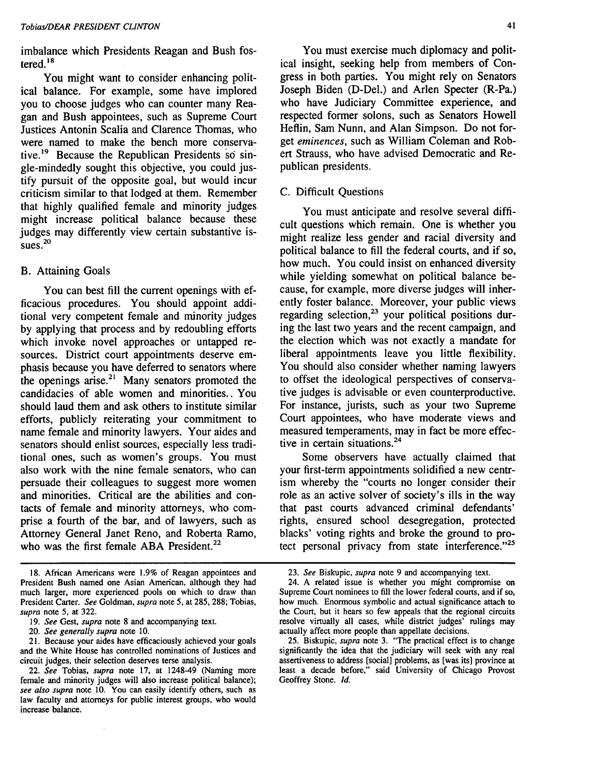imbalance which Presidents Reagan and Bush fostered.18

You might want to consider enhancing political balance. For example, some have implored you to choose judges who can counter many Reagan and Bush appointees, such as Supreme Court Justices Antonin Scalia and Clarence Thomas, who were named to make the bench more conservative.<sup>19</sup> Because the Republican Presidents so single-mindedly sought this objective, you could justify pursuit of the opposite goal, but would incur criticism similar to that lodged at them. Remember that highly qualified female and minority judges might increase political balance because these judges may differently view certain substantive issues. $20$ 

#### B. Attaining Goals

You can best fill the current openings with efficacious procedures. You should appoint additional very competent female and minority judges by applying that process and by redoubling efforts which invoke novel approaches or untapped resources. District court appointments deserve emphasis because you have deferred to senators where the openings arise.<sup>21</sup> Many senators promoted the candidacies of able women and minorities .. You should laud them and ask others to institute similar efforts, publicly reiterating your commitment to name female and minority lawyers. Your aides and senators should enlist sources, especially less traditional ones, such as women's groups. You must also work with the nine female senators, who can persuade their colleagues to suggest more women and minorities. Critical are the abilities and contacts of female and minority attorneys, who comprise a fourth of the bar, and of lawyers, such as Attorney General Janet Reno, and Roberta Ramo, who was the first female ABA President.<sup>22</sup>

18. African Americans were 1.9% of Reagan appointees and President Bush named one Asian American, although they had much larger, more experienced pools on which to draw than President Carter. *See* Goldman, *supra* note 5, at 285, 288; Tobias, *supra* note 5, at 322.

19. *See* Gest, *supra* note 8 and accompanying text.

20. *See generally supra* note 10.

21. Because your aides have efficaciously achieved your goals and the White House has controlled nominations of Justices and circuit judges, their selection deserves terse analysis.

22. *See* Tobias, *supra* note 17, at 1248-49 (Naming more female and minority judges will also increase political balance); *see also supra* note 10. You can easily identify others, such as law faculty and attorneys for public interest groups, who would increase balance.

You must exercise much diplomacy and political insight, seeking help from members of Congress in both parties. You might rely on Senators Joseph Biden (D-Del.) and Arlen Specter (R-Pa.) who have Judiciary Committee experience, and respected former solons, such as Senators Howell Heflin, Sam Nunn, and Alan Simpson. Do not forget *eminences,* such as William Coleman and Robert Strauss, who have advised Democratic and Republican presidents.

#### C. Difficult Questions

You must anticipate and resolve several difficult questions which remain. One is whether you might realize less gender and racial diversity and political balance to fill the federal courts, and if so, how much. You could insist on enhanced diversity while yielding somewhat on political balance because, for example, more diverse judges will inherently foster balance. Moreover, your public views regarding selection,<sup>23</sup> your political positions during the last two years and the recent campaign, and the election which was not exactly a mandate for liberal appointments leave you little flexibility. You should also consider whether naming lawyers to offset the ideological perspectives of conservative judges is advisable or even counterproductive. For instance, jurists, such as your two Supreme Court appointees, who have moderate views and measured temperaments, may in fact be more effective in certain situations.<sup>24</sup>

Some observers have actually claimed that your first-term appointments solidified a new centrism whereby the "courts no longer consider their role as an active solver of society's ills in the way that past courts advanced criminal defendants' rights, ensured school desegregation, protected blacks' voting rights and broke the ground to protect personal privacy from state interference."25

<sup>23.</sup> *See* Biskupic, *supra* note 9 and accompanying text.

<sup>24.</sup> A related issue is whether you might compromise on Supreme Court nominees to fill the lower federal courts, and if so, how much. Enormous symbolic and actual significance attach to the Court, but it hears so few appeals that the regional circuits resolve virtually all cases, while district judges' rulings may actually affect more people than appellate decisions.

<sup>25.</sup> Biskupic, *supra* note 3. "The practical effect is to change significantly the idea that the judiciary will seek with any real assertiveness to address [social] problems, as [was its] province at least a decade before," said University of Chicago Provost Geoffrey Stone. *Id.*